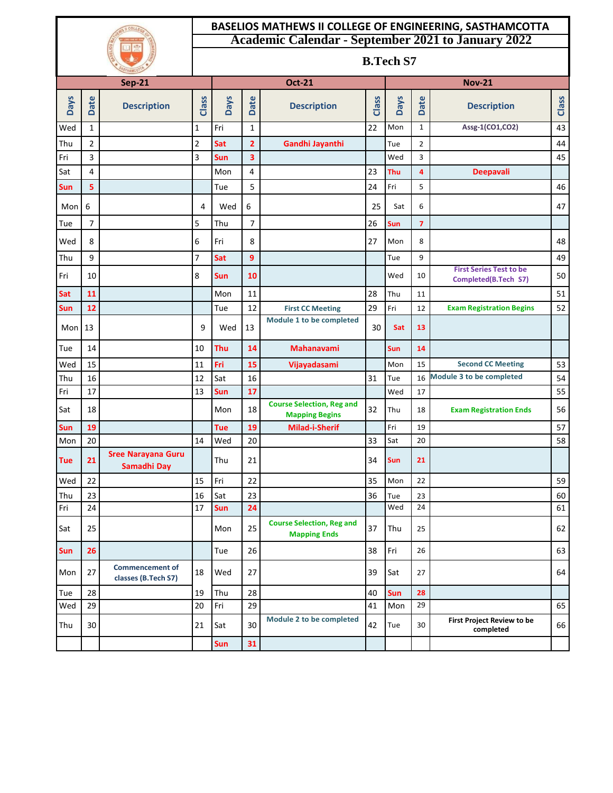|               |                |                                               | <b>BASELIOS MATHEWS II COLLEGE OF ENGINEERING, SASTHAMCOTTA</b> |                                                           |                |                                                           |       |             |                |                                                        |          |  |  |  |
|---------------|----------------|-----------------------------------------------|-----------------------------------------------------------------|-----------------------------------------------------------|----------------|-----------------------------------------------------------|-------|-------------|----------------|--------------------------------------------------------|----------|--|--|--|
|               |                |                                               |                                                                 | <b>Academic Calendar - September 2021 to January 2022</b> |                |                                                           |       |             |                |                                                        |          |  |  |  |
|               |                |                                               |                                                                 | <b>B.Tech S7</b>                                          |                |                                                           |       |             |                |                                                        |          |  |  |  |
| <b>Sep-21</b> |                |                                               |                                                                 | <b>Oct-21</b>                                             |                |                                                           |       |             |                | <b>Nov-21</b>                                          |          |  |  |  |
| <b>Days</b>   | <b>Date</b>    | <b>Description</b>                            | Class                                                           | <b>Days</b>                                               | Date           | <b>Description</b>                                        | Class | <b>Days</b> | <b>Date</b>    | <b>Description</b>                                     | Class    |  |  |  |
| Wed           | $\mathbf{1}$   |                                               | 1                                                               | Fri                                                       | $\mathbf{1}$   |                                                           | 22    | Mon         | $\mathbf{1}$   | Assg-1(CO1,CO2)                                        | 43       |  |  |  |
| Thu           | $\overline{2}$ |                                               | 2                                                               | Sat                                                       | $\overline{2}$ | Gandhi Jayanthi                                           |       | Tue         | $\overline{2}$ |                                                        | 44       |  |  |  |
| Fri           | 3              |                                               | 3                                                               | Sun                                                       | 3              |                                                           |       | Wed         | 3              |                                                        | 45       |  |  |  |
| Sat           | 4              |                                               |                                                                 | Mon                                                       | 4              |                                                           | 23    | Thu         | $\overline{4}$ | <b>Deepavali</b>                                       |          |  |  |  |
| Sun           | 5              |                                               |                                                                 | Tue                                                       | 5              |                                                           | 24    | Fri         | 5              |                                                        | 46       |  |  |  |
| Mon           | 6              |                                               | 4                                                               | Wed                                                       | 6              |                                                           | 25    | Sat         | 6              |                                                        | 47       |  |  |  |
| Tue           | $\overline{7}$ |                                               | 5                                                               | Thu                                                       | 7              |                                                           | 26    | Sun         | $\overline{7}$ |                                                        |          |  |  |  |
| Wed           | 8              |                                               | 6                                                               | Fri                                                       | 8              |                                                           | 27    | Mon         | 8              |                                                        | 48       |  |  |  |
| Thu           | 9              |                                               | 7                                                               | Sat                                                       | 9              |                                                           |       | Tue         | 9              |                                                        | 49       |  |  |  |
| Fri           | 10             |                                               | 8                                                               | Sun                                                       | 10             |                                                           |       | Wed         | 10             | <b>First Series Test to be</b><br>Completed(B.Tech S7) | 50       |  |  |  |
| Sat           | 11             |                                               |                                                                 | Mon                                                       | 11             |                                                           | 28    | Thu         | 11             |                                                        | 51       |  |  |  |
| Sun           | 12             |                                               |                                                                 | Tue                                                       | 12             | <b>First CC Meeting</b>                                   | 29    | Fri         | 12             | <b>Exam Registration Begins</b>                        | 52       |  |  |  |
| Mon $13$      |                |                                               | 9                                                               | Wed                                                       | 13             | Module 1 to be completed                                  | 30    | Sat         | 13             |                                                        |          |  |  |  |
| Tue           | 14             |                                               | 10                                                              | Thu                                                       | 14             | <b>Mahanavami</b>                                         |       | <b>Sun</b>  | 14             |                                                        |          |  |  |  |
| Wed           | 15             |                                               | 11                                                              | Fri                                                       | 15             | Vijayadasami                                              |       | Mon         | 15             | <b>Second CC Meeting</b>                               | 53       |  |  |  |
| Thu           | 16             |                                               | 12                                                              | Sat                                                       | 16             |                                                           | 31    | Tue         | 16             | Module 3 to be completed                               | 54       |  |  |  |
| Fri           | 17             |                                               | 13                                                              | Sun                                                       | 17             |                                                           |       | Wed         | 17             |                                                        | 55       |  |  |  |
| Sat           | 18             |                                               |                                                                 | Mon                                                       | 18             | <b>Course Selection, Reg and</b><br><b>Mapping Begins</b> | 32    | Thu         | 18             | <b>Exam Registration Ends</b>                          | 56       |  |  |  |
| Sun           | 19             |                                               |                                                                 | <b>Tue</b>                                                | 19             | <b>Milad-i-Sherif</b>                                     |       | Fri         | 19             |                                                        | 57       |  |  |  |
| Mon           | 20             | <b>Sree Narayana Guru</b>                     | 14                                                              | Wed                                                       | 20             |                                                           | 33    | Sat         | 20             |                                                        | 58       |  |  |  |
| <b>Tue</b>    | 21             | Samadhi Day                                   |                                                                 | Thu                                                       | 21             |                                                           | 34    | Sun         | 21             |                                                        |          |  |  |  |
| Wed           | 22             |                                               | 15                                                              | Fri                                                       | 22             |                                                           | 35    | Mon         | 22             |                                                        | 59       |  |  |  |
| Thu<br>Fri    | 23<br>24       |                                               | 16<br>17                                                        | Sat<br>Sun                                                | 23<br>24       |                                                           | 36    | Tue<br>Wed  | 23<br>24       |                                                        | 60<br>61 |  |  |  |
| Sat           | 25             |                                               |                                                                 | Mon                                                       | 25             | <b>Course Selection, Reg and</b>                          | 37    | Thu         | 25             |                                                        | 62       |  |  |  |
| Sun           | 26             |                                               |                                                                 | Tue                                                       | 26             | <b>Mapping Ends</b>                                       | 38    | Fri         | 26             |                                                        | 63       |  |  |  |
| Mon           | 27             | <b>Commencement of</b><br>classes (B.Tech S7) | 18                                                              | Wed                                                       | 27             |                                                           | 39    | Sat         | 27             |                                                        | 64       |  |  |  |
| Tue           | 28             |                                               | 19                                                              | Thu                                                       | 28             |                                                           | 40    | Sun         | 28             |                                                        |          |  |  |  |
| Wed           | 29             |                                               | 20                                                              | Fri                                                       | 29             |                                                           | 41    | Mon         | 29             |                                                        | 65       |  |  |  |
| Thu           | 30             |                                               | 21                                                              | Sat                                                       | 30             | Module 2 to be completed                                  | 42    | Tue         | 30             | First Project Review to be<br>completed                | 66       |  |  |  |
|               |                |                                               |                                                                 | Sun                                                       | 31             |                                                           |       |             |                |                                                        |          |  |  |  |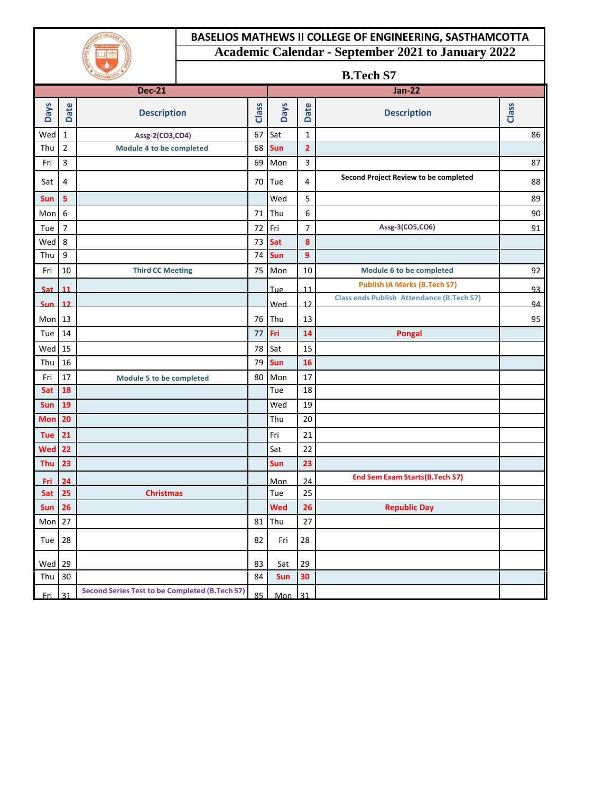### **BASELIOS MATHEWS II COLLEGE OF ENGINEERING, SASTHAMCOTTA Academic Calendar - September 2021 to January 2022**

| COLLEC<br>V LORD AND MY GO |
|----------------------------|
|                            |
|                            |

#### **B.Tech S7**

|             |                |                                                       |    |             |                | $P_{\rm t}$ . The state $\sigma$                 |       |
|-------------|----------------|-------------------------------------------------------|----|-------------|----------------|--------------------------------------------------|-------|
|             |                | <b>Dec-21</b>                                         |    |             |                | <b>Jan-22</b>                                    |       |
| <b>Days</b> | <b>Date</b>    | <b>Description</b>                                    |    | <b>Days</b> | Date           | <b>Description</b>                               | Class |
| Wed         | $\mathbf{1}$   | Assg-2(CO3,CO4)                                       |    | Sat         | $\mathbf 1$    |                                                  | 86    |
| Thu         | $\overline{2}$ | Module 4 to be completed                              | 68 | Sun         | $\overline{2}$ |                                                  |       |
| Fri         | 3              |                                                       | 69 | Mon         | 3              |                                                  | 87    |
| Sat         | 4              |                                                       | 70 | Tue         | 4              | Second Project Review to be completed            | 88    |
| Sun         | 5              |                                                       |    | Wed         | 5              |                                                  | 89    |
| Mon         | 6              |                                                       | 71 | Thu         | 6              |                                                  | 90    |
| Tue         | $\overline{7}$ |                                                       | 72 | Fri         | $\overline{7}$ | Assg-3(CO5,CO6)                                  | 91    |
| Wed         | 8              |                                                       | 73 | Sat         | 8              |                                                  |       |
| Thu         | 9              |                                                       | 74 | Sun         | 9              |                                                  |       |
| Fri         | 10             | <b>Third CC Meeting</b>                               | 75 | Mon         | 10             | Module 6 to be completed                         | 92    |
| <b>Sat</b>  | 11             |                                                       |    | Tue         | 11             | <b>Publish IA Marks (B.Tech S7)</b>              | 93    |
| <b>Sun</b>  | 12             |                                                       |    | Wed         | 12             | <b>Class ends Publish Attendance (B.Tech S7)</b> | 94    |
| Mon         | <b>13</b>      |                                                       | 76 | Thu         | 13             |                                                  | 95    |
| Tue         | 14             |                                                       | 77 | Fri         | 14             | <b>Pongal</b>                                    |       |
| Wed         | 15             |                                                       | 78 | Sat         | 15             |                                                  |       |
| Thu         | 16             |                                                       | 79 | Sun         | <b>16</b>      |                                                  |       |
| Fri         | 17             | Module 5 to be completed                              | 80 | Mon         | 17             |                                                  |       |
| Sat         | 18             |                                                       |    | Tue         | 18             |                                                  |       |
| Sun         | 19             |                                                       |    | Wed         | 19             |                                                  |       |
| <b>Mon</b>  | 20             |                                                       |    | Thu         | 20             |                                                  |       |
| <b>Tue</b>  | 21             |                                                       |    | Fri         | 21             |                                                  |       |
| <b>Wed</b>  | 22             |                                                       |    | Sat         | 22             |                                                  |       |
| Thu         | 23             |                                                       |    | Sun         | 23             |                                                  |       |
| Fri         | 24             |                                                       |    | Mon         | 24             | <b>End Sem Exam Starts (B.Tech S7)</b>           |       |
| Sat         | 25             | <b>Christmas</b>                                      |    | Tue         | 25             |                                                  |       |
| <b>Sun</b>  | 26             |                                                       |    | Wed         | 26             | <b>Republic Day</b>                              |       |
| Mon         | 27             |                                                       | 81 | Thu         | 27             |                                                  |       |
| Tue         | 28             |                                                       | 82 | Fri         | 28             |                                                  |       |
| Wed         | 29             |                                                       | 83 | Sat         | 29             |                                                  |       |
| Thu         | 30             |                                                       | 84 | <b>Sun</b>  | 30             |                                                  |       |
| <b>Fri</b>  | 31             | <b>Second Series Test to be Completed (B.Tech S7)</b> | 85 | Mon         | 31             |                                                  |       |